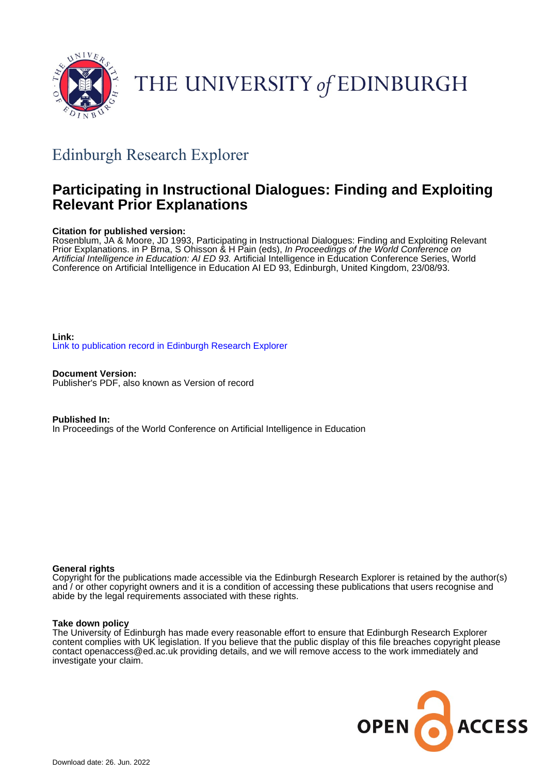

# THE UNIVERSITY of EDINBURGH

## Edinburgh Research Explorer

## **Participating in Instructional Dialogues: Finding and Exploiting Relevant Prior Explanations**

#### **Citation for published version:**

Rosenblum, JA & Moore, JD 1993, Participating in Instructional Dialogues: Finding and Exploiting Relevant Prior Explanations. in P Brna, S Ohisson & H Pain (eds), In Proceedings of the World Conference on Artificial Intelligence in Education: AI ED 93. Artificial Intelligence in Education Conference Series, World Conference on Artificial Intelligence in Education AI ED 93, Edinburgh, United Kingdom, 23/08/93.

**Link:** [Link to publication record in Edinburgh Research Explorer](https://www.research.ed.ac.uk/en/publications/e8aef32f-654a-41c2-be82-ef96c92aa933)

**Document Version:** Publisher's PDF, also known as Version of record

**Published In:** In Proceedings of the World Conference on Artificial Intelligence in Education

#### **General rights**

Copyright for the publications made accessible via the Edinburgh Research Explorer is retained by the author(s) and / or other copyright owners and it is a condition of accessing these publications that users recognise and abide by the legal requirements associated with these rights.

#### **Take down policy**

The University of Edinburgh has made every reasonable effort to ensure that Edinburgh Research Explorer content complies with UK legislation. If you believe that the public display of this file breaches copyright please contact openaccess@ed.ac.uk providing details, and we will remove access to the work immediately and investigate your claim.

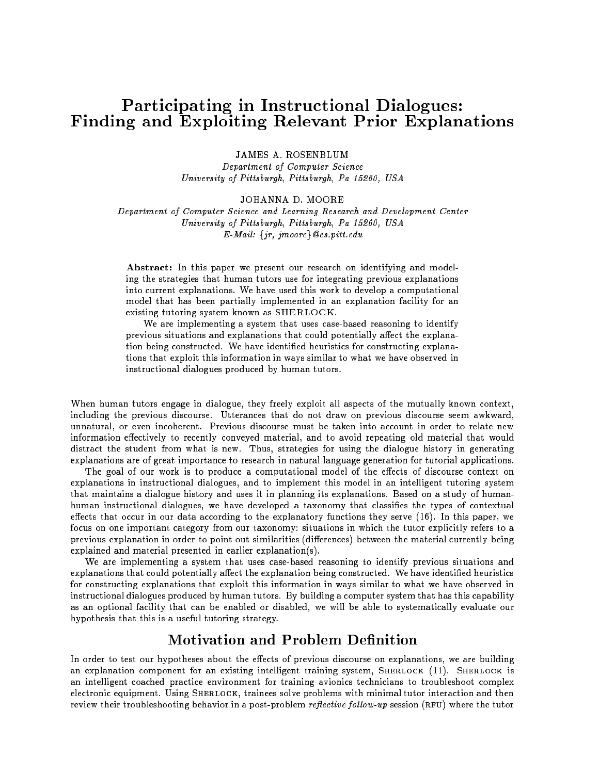## Participating in Instructional Dialogues: Finding and Exploiting Relevant Prior Explanations

**JAMES A. ROSENBLUM** Department of Computer Science University of Pittsburgh, Pittsburgh, Pa 15260, USA

JOHANNA D. MOORE

Department of Computer Science and Learning Research and Development Center University of Pittsburgh, Pittsburgh, Pa 15260, USA  $E-Mail: \{jr, jmoore\}$  *@cs.pitt.edu* 

Abstract: In this paper we present our research on identifying and modeling the strategies that human tutors use for integrating previous explanations into current explanations. We have used this work to develop a computational model that has been partially implemented in an explanation facility for an existing tutoring system known as SHERLOCK.

We are implementing a system that uses case-based reasoning to identify previous situations and explanations that could potentially affect the explanation being constructed. We have identified heuristics for constructing explanations that exploit this information in ways similar to what we have observed in instructional dialogues produced by human tutors.

When human tutors engage in dialogue, they freely exploit all aspects of the mutually known context, including the previous discourse. Utterances that do not draw on previous discourse seem awkward, unnatural, or even incoherent. Previous discourse must be taken into account in order to relate new information effectively to recently conveyed material, and to avoid repeating old material that would distract the student from what is new. Thus, strategies for using the dialogue history in generating explanations are of great importance to research in natural language generation for tutorial applications.

The goal of our work is to produce a computational model of the effects of discourse context on explanations in instructional dialogues, and to implement this model in an intelligent tutoring system that maintains a dialogue history and uses it in planning its explanations. Based on a study of humanhuman instructional dialogues, we have developed a taxonomy that classifies the types of contextual effects that occur in our data according to the explanatory functions they serve  $(16)$ . In this paper, we focus on one important category from our taxonomy: situations in which the tutor explicitly refers to a previous explanation in order to point out similarities (differences) between the material currently being explained and material presented in earlier explanation(s).

We are implementing a system that uses case-based reasoning to identify previous situations and explanations that could potentially affect the explanation being constructed. We have identified heuristics for constructing explanations that exploit this information in ways similar to what we have observed in instructional dialogues produced by human tutors. By building a computer system that has this capability as an optional facility that can be enabled or disabled, we will be able to systematically evaluate our hypothesis that this is a useful tutoring strategy.

#### **Motivation and Problem Definition**

In order to test our hypotheses about the effects of previous discourse on explanations, we are building an explanation component for an existing intelligent training system, SHERLOCK (11). SHERLOCK is an intelligent coached practice environment for training avionics technicians to troubleshoot complex electronic equipment. Using SHERLOCK, trainees solve problems with minimal tutor interaction and then review their troubleshooting behavior in a post-problem *reflective follow-up* session (RFU) where the tutor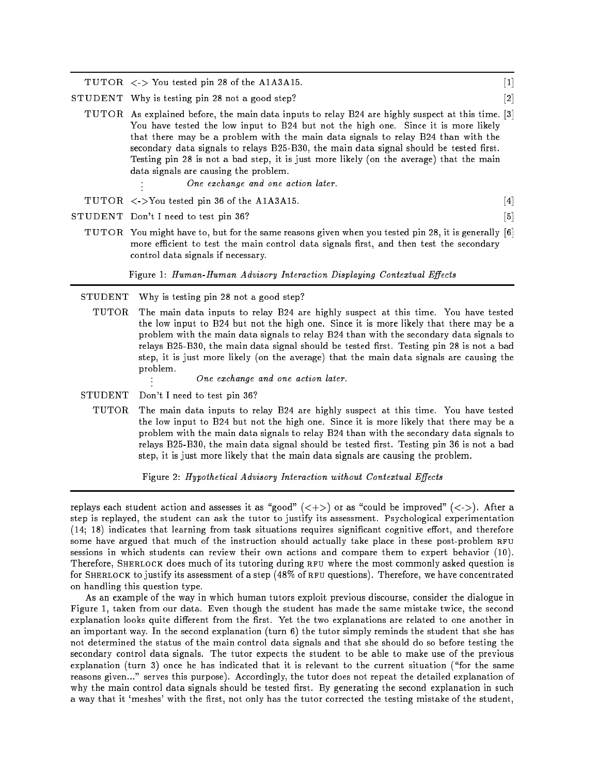$TUTOR < \langle \rangle$  You tested pin 28 of the A1A3A15. [1]

STUDENT Why is testing pin 28 not a good step? [2]

- TUTOR As explained before, the main data inputs to relay B24 are highly suspect at this time. [3] You have tested the low input to B24 but not the high one. Since it is more likely that there may be a problem with the main data signals to relay B24 than with the secondary data signals to relays B25-B30, the main data signal should be tested first. Testing pin 28 is not a bad step, it is just more likely (on the average) that the main data signals are causing the problem. . One exchange and one action later.
- TUTOR  $\langle -\rangle$ You tested pin 36 of the A1A3A15. [4]
- STUDENT Don't I need to test pin 36? [5]
	- TUTOR You might have to, but for the same reasons given when you tested pin 28, it is generally [6] more efficient to test the main control data signals first, and then test the secondary control data signals if necessary.

Figure 1: Human-Human Advisory Interaction Displaying Contextual Effects

STUDENT Why is testing pin 28 not a good step?

- TUTOR The main data inputs to relay B24 are highly suspect at this time. You have tested the low input to B24 but not the high one. Since it is more likely that there may be a problem with the main data signals to relay B24 than with the secondary data signals to relays B25-B30, the main data signal should be tested first. Testing pin 28 is not a bad step, it is just more likely (on the average) that the main data signals are causing the problem.
	- . One exchange and one action later.
- STUDENT Don't I need to test pin 36?
	- TUTOR The main data inputs to relay B24 are highly suspect at this time. You have tested the low input to B24 but not the high one. Since it is more likely that there may be a problem with the main data signals to relay B24 than with the secondary data signals to relays B25-B30, the main data signal should be tested first. Testing pin 36 is not a bad step, it is just more likely that the main data signals are causing the problem.

Figure 2: Hypothetical Advisory Interaction without Contextual Effects

replays each student action and assesses it as "good"  $(\langle + \rangle)$  or as "could be improved"  $(\langle - \rangle)$ . After a step is replayed, the student can ask the tutor to justify its assessment. Psychological experimentation  $(14; 18)$  indicates that learning from task situations requires significant cognitive effort, and therefore some have argued that much of the instruction should actually take place in these post-problem RFU sessions in which students can review their own actions and compare them to expert behavior (10). Therefore, SHERLOCK does much of its tutoring during RFU where the most commonly asked question is for SHERLOCK to justify its assessment of a step (48% of RFU questions). Therefore, we have concentrated on handling this question type.

As an example of the way in which human tutors exploit previous discourse, consider the dialogue in Figure 1, taken from our data. Even though the student has made the same mistake twice, the second explanation looks quite different from the first. Yet the two explanations are related to one another in an important way. In the second explanation (turn 6) the tutor simply reminds the student that she has not determined the status of the main control data signals and that she should do so before testing the secondary control data signals. The tutor expects the student to be able to make use of the previous explanation (turn 3) once he has indicated that it is relevant to the current situation ("for the same reasons given..." serves this purpose). Accordingly, the tutor does not repeat the detailed explanation of why the main control data signals should be tested first. By generating the second explanation in such a way that it 'meshes' with the first, not only has the tutor corrected the testing mistake of the student,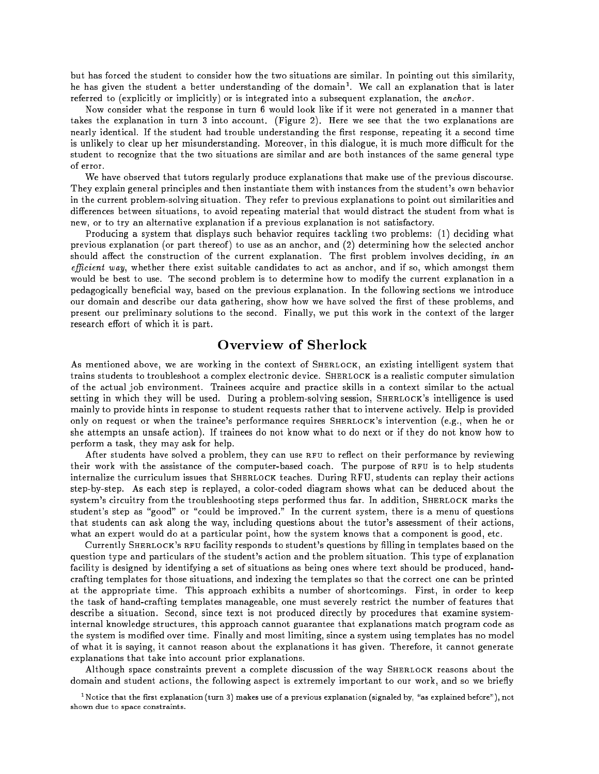but has forced the student to consider how the two situations are similar. In pointing out this similarity, he has given the student a better understanding of the domain<sup>1</sup> . We call an explanation that is later referred to (explicitly or implicitly) or is integrated into a subsequent explanation, the *anchor*.

Now consider what the response in turn 6 would look like if it were not generated in a manner that takes the explanation in turn 3 into account. (Figure 2). Here we see that the two explanations are nearly identical. If the student had trouble understanding the first response, repeating it a second time is unlikely to clear up her misunderstanding. Moreover, in this dialogue, it is much more difficult for the student to recognize that the two situations are similar and are both instances of the same general type of error.

We have observed that tutors regularly produce explanations that make use of the previous discourse. They explain general principles and then instantiate them with instances from the student's own behavior in the current problem-solving situation. They refer to previous explanations to point out similarities and differences between situations, to avoid repeating material that would distract the student from what is new, or to try an alternative explanation if a previous explanation is not satisfactory.

Producing a system that displays such behavior requires tackling two problems: (1) deciding what previous explanation (or part thereof) to use as an anchor, and  $(2)$  determining how the selected anchor should affect the construction of the current explanation. The first problem involves deciding, in an efficient way, whether there exist suitable candidates to act as anchor, and if so, which amongst them would be best to use. The second problem is to determine how to modify the current explanation in a pedagogically beneficial way, based on the previous explanation. In the following sections we introduce our domain and describe our data gathering, show how we have solved the first of these problems, and present our preliminary solutions to the second. Finally, we put this work in the context of the larger research effort of which it is part.

### Overview of Sherlock

As mentioned above, we are working in the context of SHERLOCK, an existing intelligent system that trains students to troubleshoot a complex electronic device. SHERLOCK is a realistic computer simulation of the actual job environment. Trainees acquire and practice skills in a context similar to the actual setting in which they will be used. During a problem-solving session, SHERLOCK's intelligence is used mainly to provide hints in response to student requests rather that to intervene actively. Help is provided only on request or when the trainee's performance requires SHERLOCK's intervention (e.g., when he or she attempts an unsafe action). If trainees do not know what to do next or if they do not know how to perform a task, they may ask for help.

After students have solved a problem, they can use RFU to reflect on their performance by reviewing their work with the assistance of the computer-based coach. The purpose of RFU is to help students internalize the curriculum issues that SHERLOCK teaches. During RFU, students can replay their actions step-by-step. As each step is replayed, a color-coded diagram shows what can be deduced about the system's circuitry from the troubleshooting steps performed thus far. In addition, SHERLOCK marks the student's step as "good" or "could be improved." In the current system, there is a menu of questions that students can ask along the way, including questions about the tutor's assessment of their actions, what an expert would do at a particular point, how the system knows that a component is good, etc.

Currently SHERLOCK's RFU facility responds to student's questions by filling in templates based on the question type and particulars of the student's action and the problem situation. This type of explanation facility is designed by identifying a set of situations as being ones where text should be produced, handcrafting templates for those situations, and indexing the templates so that the correct one can be printed at the appropriate time. This approach exhibits a number of shortcomings. First, in order to keep the task of hand-crafting templates manageable, one must severely restrict the number of features that describe a situation. Second, since text is not produced directly by procedures that examine systeminternal knowledge structures, this approach cannot guarantee that explanations match program code as the system is modied over time. Finally and most limiting, since a system using templates has no model of what it is saying, it cannot reason about the explanations it has given. Therefore, it cannot generate explanations that take into account prior explanations.

Although space constraints prevent a complete discussion of the way SHERLOCK reasons about the domain and student actions, the following aspect is extremely important to our work, and so we briefly

" Notice that the first explanation (turn 3) makes use of a previous explanation (signaled by, "as explained before"), not shown due to space constraints.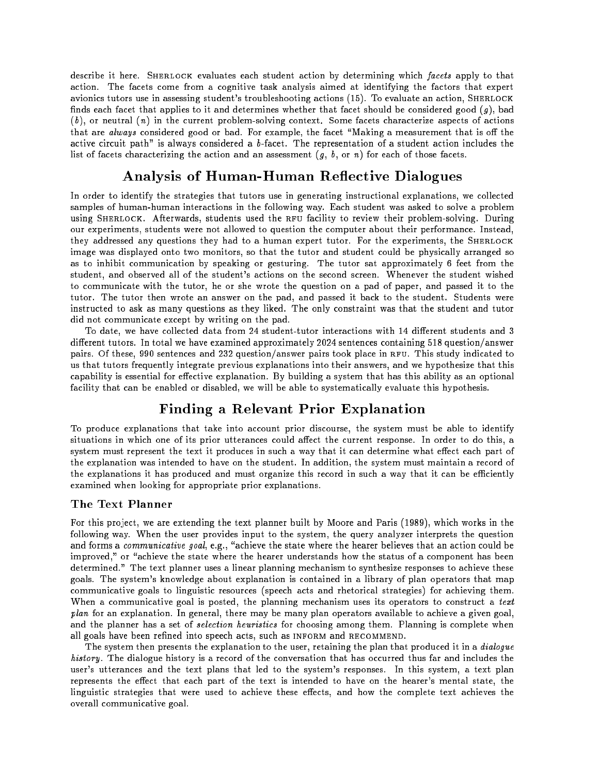describe it here. SHERLOCK evaluates each student action by determining which facets apply to that action. The facets come from a cognitive task analysis aimed at identifying the factors that expert avionics tutors use in assessing student's troubleshooting actions (15). To evaluate an action, SHERLOCK finds each facet that applies to it and determines whether that facet should be considered good  $(g)$ , bad  $(b)$ , or neutral  $(n)$  in the current problem-solving context. Some facets characterize aspects of actions that are always considered good or bad. For example, the facet "Making a measurement that is off the active circuit path" is always considered a  $b$ -facet. The representation of a student action includes the list of facets characterizing the action and an assessment  $(g, b, \text{or } n)$  for each of those facets.

## Analysis of Human-Human Reflective Dialogues

In order to identify the strategies that tutors use in generating instructional explanations, we collected samples of human-human interactions in the following way. Each student was asked to solve a problem using SHERLOCK. Afterwards, students used the RFU facility to review their problem-solving. During our experiments, students were not allowed to question the computer about their performance. Instead, they addressed any questions they had to a human expert tutor. For the experiments, the SHERLOCK image was displayed onto two monitors, so that the tutor and student could be physically arranged so as to inhibit communication by speaking or gesturing. The tutor sat approximately 6 feet from the student, and observed all of the student's actions on the second screen. Whenever the student wished to communicate with the tutor, he or she wrote the question on a pad of paper, and passed it to the tutor. The tutor then wrote an answer on the pad, and passed it back to the student. Students were instructed to ask as many questions as they liked. The only constraint was that the student and tutor did not communicate except by writing on the pad.

To date, we have collected data from 24 student-tutor interactions with 14 different students and 3 different tutors. In total we have examined approximately 2024 sentences containing 518 question/answer pairs. Of these, 990 sentences and 232 question/answer pairs took place in RFU. This study indicated to us that tutors frequently integrate previous explanations into their answers, and we hypothesize that this capability is essential for effective explanation. By building a system that has this ability as an optional facility that can be enabled or disabled, we will be able to systematically evaluate this hypothesis.

## Finding a Relevant Prior Explanation

To produce explanations that take into account prior discourse, the system must be able to identify situations in which one of its prior utterances could affect the current response. In order to do this, a system must represent the text it produces in such a way that it can determine what effect each part of the explanation was intended to have on the student. In addition, the system must maintain a record of the explanations it has produced and must organize this record in such a way that it can be efficiently examined when looking for appropriate prior explanations.

#### The Text Planner

For this project, we are extending the text planner built by Moore and Paris (1989), which works in the following way. When the user provides input to the system, the query analyzer interprets the question and forms a communicative goal, e.g., "achieve the state where the hearer believes that an action could be improved," or "achieve the state where the hearer understands how the status of a component has been determined." The text planner uses a linear planning mechanism to synthesize responses to achieve these goals. The system's knowledge about explanation is contained in a library of plan operators that map communicative goals to linguistic resources (speech acts and rhetorical strategies) for achieving them. When a communicative goal is posted, the planning mechanism uses its operators to construct a text plan for an explanation. In general, there may be many plan operators available to achieve a given goal, and the planner has a set of *selection heuristics* for choosing among them. Planning is complete when all goals have been refined into speech acts, such as INFORM and RECOMMEND.

The system then presents the explanation to the user, retaining the plan that produced it in a *dialogue* history. The dialogue history is a record of the conversation that has occurred thus far and includes the user's utterances and the text plans that led to the system's responses. In this system, a text plan represents the effect that each part of the text is intended to have on the hearer's mental state, the linguistic strategies that were used to achieve these effects, and how the complete text achieves the overall communicative goal.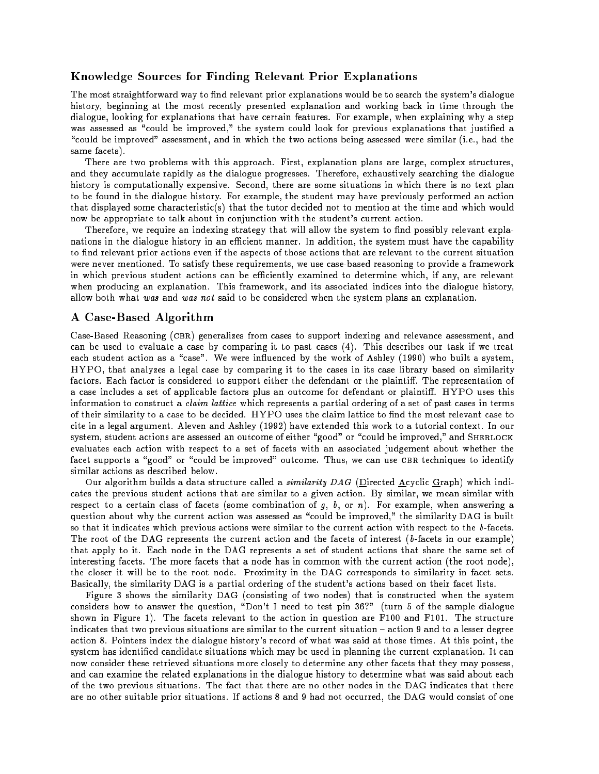#### Knowledge Sources for Finding Relevant Prior Explanations

The most straightforward way to find relevant prior explanations would be to search the system's dialogue history, beginning at the most recently presented explanation and working back in time through the dialogue, looking for explanations that have certain features. For example, when explaining why a step was assessed as "could be improved," the system could look for previous explanations that justified a "could be improved" assessment, and in which the two actions being assessed were similar (i.e., had the same facets).

There are two problems with this approach. First, explanation plans are large, complex structures, and they accumulate rapidly as the dialogue progresses. Therefore, exhaustively searching the dialogue history is computationally expensive. Second, there are some situations in which there is no text plan to be found in the dialogue history. For example, the student may have previously performed an action that displayed some characteristic(s) that the tutor decided not to mention at the time and which would now be appropriate to talk about in conjunction with the student's current action.

Therefore, we require an indexing strategy that will allow the system to find possibly relevant explanations in the dialogue history in an efficient manner. In addition, the system must have the capability to find relevant prior actions even if the aspects of those actions that are relevant to the current situation were never mentioned. To satisfy these requirements, we use case-based reasoning to provide a framework in which previous student actions can be efficiently examined to determine which, if any, are relevant when producing an explanation. This framework, and its associated indices into the dialogue history, allow both what was and was not said to be considered when the system plans an explanation.

#### A Case-Based Algorithm

Case-Based Reasoning (cbr) generalizes from cases to support indexing and relevance assessment, and can be used to evaluate a case by comparing it to past cases (4). This describes our task if we treat each student action as a "case". We were influenced by the work of Ashley (1990) who built a system, HYPO, that analyzes a legal case by comparing it to the cases in its case library based on similarity factors. Each factor is considered to support either the defendant or the plaintiff. The representation of a case includes a set of applicable factors plus an outcome for defendant or plaintiff. HYPO uses this information to construct a claim lattice which represents a partial ordering of a set of past cases in terms of their similarity to a case to be decided. HYPO uses the claim lattice to find the most relevant case to cite in a legal argument. Aleven and Ashley (1992) have extended this work to a tutorial context. In our system, student actions are assessed an outcome of either "good" or "could be improved," and SHERLOCK evaluates each action with respect to a set of facets with an associated judgement about whether the facet supports a "good" or "could be improved" outcome. Thus, we can use CBR techniques to identify similar actions as described below.

Our algorithm builds a data structure called a *similarity DAG* (Directed Acyclic Graph) which indicates the previous student actions that are similar to a given action. By similar, we mean similar with respect to a certain class of facets (some combination of  $g$ ,  $b$ , or n). For example, when answering a question about why the current action was assessed as "could be improved," the similarity DAG is built so that it indicates which previous actions were similar to the current action with respect to the b-facets. The root of the DAG represents the current action and the facets of interest  $(b\text{-facets in our example})$ that apply to it. Each node in the DAG represents a set of student actions that share the same set of interesting facets. The more facets that a node has in common with the current action (the root node), the closer it will be to the root node. Proximity in the DAG corresponds to similarity in facet sets. Basically, the similarity DAG is a partial ordering of the student's actions based on their facet lists.

Figure 3 shows the similarity DAG (consisting of two nodes) that is constructed when the system considers how to answer the question, "Don't I need to test pin 36?" (turn 5 of the sample dialogue shown in Figure 1). The facets relevant to the action in question are F100 and F101. The structure indicates that two previous situations are similar to the current situation – action 9 and to a lesser degree action 8. Pointers index the dialogue history's record of what was said at those times. At this point, the system has identied candidate situations which may be used in planning the current explanation. It can now consider these retrieved situations more closely to determine any other facets that they may possess, and can examine the related explanations in the dialogue history to determine what was said about each of the two previous situations. The fact that there are no other nodes in the DAG indicates that there are no other suitable prior situations. If actions 8 and 9 had not occurred, the DAG would consist of one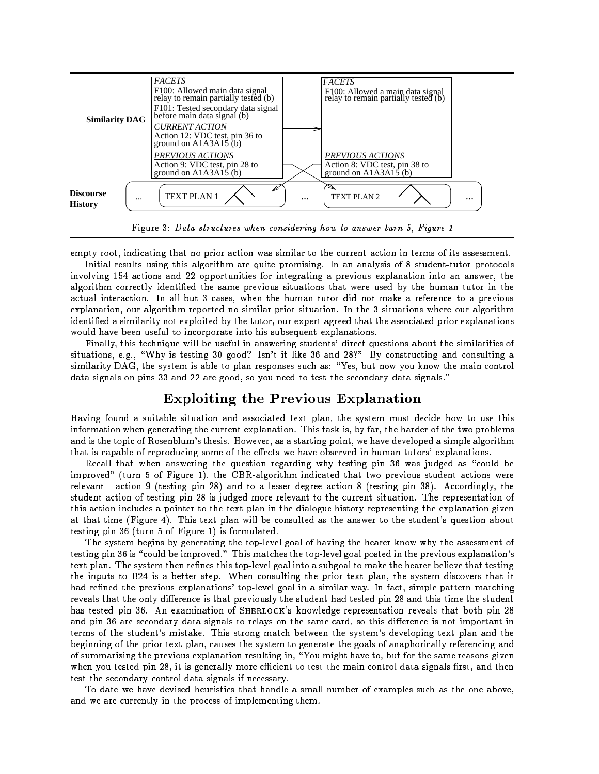

empty root, indicating that no prior action was similar to the current action in terms of its assessment. Initial results using this algorithm are quite promising. In an analysis of 8 student-tutor protocols

involving 154 actions and 22 opportunities for integrating a previous explanation into an answer, the algorithm correctly identied the same previous situations that were used by the human tutor in the actual interaction. In all but 3 cases, when the human tutor did not make a reference to a previous explanation, our algorithm reported no similar prior situation. In the 3 situations where our algorithm identied a similarity not exploited by the tutor, our expert agreed that the associated prior explanations would have been useful to incorporate into his subsequent explanations.

Finally, this technique will be useful in answering students' direct questions about the similarities of situations, e.g., "Why is testing 30 good? Isn't it like 36 and 28?" By constructing and consulting a similarity DAG, the system is able to plan responses such as: "Yes, but now you know the main control data signals on pins 33 and 22 are good, so you need to test the secondary data signals."

### Exploiting the Previous Explanation

Having found a suitable situation and associated text plan, the system must decide how to use this information when generating the current explanation. This task is, by far, the harder of the two problems and is the topic of Rosenblum's thesis. However, as a starting point, we have developed a simple algorithm that is capable of reproducing some of the effects we have observed in human tutors' explanations.

Recall that when answering the question regarding why testing pin 36 was judged as "could be improved" (turn 5 of Figure 1), the CBR-algorithm indicated that two previous student actions were relevant - action 9 (testing pin 28) and to a lesser degree action 8 (testing pin 38). Accordingly, the student action of testing pin 28 is judged more relevant to the current situation. The representation of this action includes a pointer to the text plan in the dialogue history representing the explanation given at that time (Figure 4). This text plan will be consulted as the answer to the student's question about testing pin 36 (turn 5 of Figure 1) is formulated.

The system begins by generating the top-level goal of having the hearer know why the assessment of testing pin 36 is "could be improved." This matches the top-level goal posted in the previous explanation's text plan. The system then refines this top-level goal into a subgoal to make the hearer believe that testing the inputs to B24 is a better step. When consulting the prior text plan, the system discovers that it had refined the previous explanations' top-level goal in a similar way. In fact, simple pattern matching reveals that the only difference is that previously the student had tested pin 28 and this time the student has tested pin 36. An examination of SHERLOCK's knowledge representation reveals that both pin 28 and pin 36 are secondary data signals to relays on the same card, so this difference is not important in terms of the student's mistake. This strong match between the system's developing text plan and the beginning of the prior text plan, causes the system to generate the goals of anaphorically referencing and of summarizing the previous explanation resulting in, "You might have to, but for the same reasons given when you tested pin 28, it is generally more efficient to test the main control data signals first, and then test the secondary control data signals if necessary.

To date we have devised heuristics that handle a small number of examples such as the one above, and we are currently in the process of implementing them.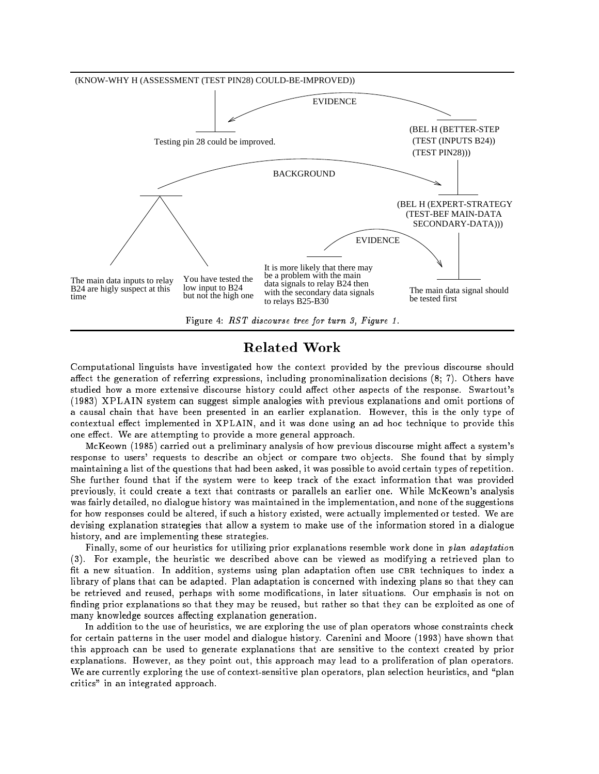

Figure 4: RST discourse tree for turn 3, Figure 1.

## Related Work

Computational linguists have investigated how the context provided by the previous discourse should affect the generation of referring expressions, including pronominalization decisions  $(8; 7)$ . Others have studied how a more extensive discourse history could affect other aspects of the response. Swartout's (1983) XPLAIN system can suggest simple analogies with previous explanations and omit portions of a causal chain that have been presented in an earlier explanation. However, this is the only type of contextual effect implemented in XPLAIN, and it was done using an ad hoc technique to provide this one effect. We are attempting to provide a more general approach.

McKeown (1985) carried out a preliminary analysis of how previous discourse might affect a system's response to users' requests to describe an object or compare two objects. She found that by simply maintaining a list of the questions that had been asked, it was possible to avoid certain types of repetition. She further found that if the system were to keep track of the exact information that was provided previously, it could create a text that contrasts or parallels an earlier one. While McKeown's analysis was fairly detailed, no dialogue history was maintained in the implementation, and none of the suggestions for how responses could be altered, if such a history existed, were actually implemented or tested. We are devising explanation strategies that allow a system to make use of the information stored in a dialogue history, and are implementing these strategies.

Finally, some of our heuristics for utilizing prior explanations resemble work done in plan adaptation (3). For example, the heuristic we described above can be viewed as modifying a retrieved plan to fit a new situation. In addition, systems using plan adaptation often use CBR techniques to index a library of plans that can be adapted. Plan adaptation is concerned with indexing plans so that they can be retrieved and reused, perhaps with some modications, in later situations. Our emphasis is not on finding prior explanations so that they may be reused, but rather so that they can be exploited as one of many knowledge sources affecting explanation generation.

In addition to the use of heuristics, we are exploring the use of plan operators whose constraints check for certain patterns in the user model and dialogue history. Carenini and Moore (1993) have shown that this approach can be used to generate explanations that are sensitive to the context created by prior explanations. However, as they point out, this approach may lead to a proliferation of plan operators. We are currently exploring the use of context-sensitive plan operators, plan selection heuristics, and "plan critics" in an integrated approach.